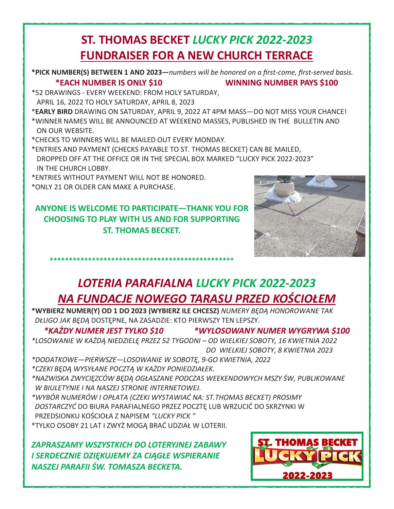## **ST. THOMAS BECKET** *LUCKY PICK 2022-2023*  **FUNDRAISER FOR A NEW CHURCH TERRACE**

**\*PICK NUMBER(S) BETWEEN 1 AND 2023—***numbers will be honored on a first-come, first-served basis.*  **\*EACH NUMBER IS ONLY \$10 WINNING NUMBER PAYS \$100** 

\*52 DRAWINGS - EVERY WEEKEND: FROM HOLY SATURDAY, APRIL 16, 2022 TO HOLY SATURDAY, APRIL 8, 2023

\***EARLY BIRD** DRAWING ON SATURDAY, APRIL 9, 2022 AT 4PM MASS—DO NOT MISS YOUR CHANCE! \*WINNER NAMES WILL BE ANNOUNCED AT WEEKEND MASSES, PUBLISHED IN THE BULLETIN AND ON OUR WEBSITE.

\*CHECKS TO WINNERS WILL BE MAILED OUT EVERY MONDAY.

\*ENTRIES AND PAYMENT (CHECKS PAYABLE TO ST. THOMAS BECKET) CAN BE MAILED, DROPPED OFF AT THE OFFICE OR IN THE SPECIAL BOX MARKED "LUCKY PICK 2022-2023" IN THE CHURCH LOBBY.

\*ENTRIES WITHOUT PAYMENT WILL NOT BE HONORED.

\*ONLY 21 OR OLDER CAN MAKE A PURCHASE.

**ANYONE IS WELCOME TO PARTICIPATE—THANK YOU FOR CHOOSING TO PLAY WITH US AND FOR SUPPORTING ST. THOMAS BECKET.** 

**\*\*\*\*\*\*\*\*\*\*\*\*\*\*\*\*\*\*\*\*\*\*\*\*\*\*\*\*\*\*\*\*\*\*\*\*\*\*\*\*\*\*\*\*\*\*\*\***



## *LOTERIA PARAFIALNA LUCKY PICK 2022-2023 NA FUNDACJE NOWEGO TARASU PRZED KOŚCIOŁEM*

**\*WYBIERZ NUMER(Y) OD 1 DO 2023 (WYBIERZ ILE CHCESZ)** *NUMERY BĘDĄ HONOROWANE TAK DŁUGO JAK BĘDĄ* DOSTĘPNE, NA ZASADZIE: KTO PIERWSZY TEN LEPSZY.

*\*KAŻDY NUMER JEST TYLKO \$10 \*WYLOSOWANY NUMER WYGRYWA \$100 \*LOSOWANIE W KAŻDĄ NIEDZIELĘ PRZEZ 52 TYGODNI – OD WIELKIEJ SOBOTY, 16 KWIETNIA 2022 DO WIELKIEJ SOBOTY, 8 KWIETNIA 2023*

*\*DODATKOWE—PIERWSZE—LOSOWANIE W SOBOTĘ, 9-GO KWIETNIA, 2022* 

*\*CZEKI BĘDĄ WYSYŁANE POCZTĄ W KAŻDY PONIEDZIAŁEK.* 

*\*NAZWISKA ZWYCIĘZCÓW BĘDĄ OGŁASZANE PODCZAS WEEKENDOWYCH MSZY ŚW, PUBLIKOWANE W BIULETYNIE I NA NASZEJ STRONIE INTERNETOWEJ.* 

*\*WYBÓR NUMERÓW I OPŁATA (CZEKI WYSTAWIAĆ NA: ST.THOMAS BECKET) PROSIMY DOSTARCZYĆ* DO BIURA PARAFIALNEGO PRZEZ POCZTĘ LUB WRZUCIĆ DO SKRZYNKI W PRZEDSIONKU KOŚCIOŁA Z NAPISEM *"LUCKY PICK "* 

\*TYLKO OSOBY 21 LAT I ZWYŻ MOGĄ BRAĆ UDZIAŁ W LOTERII.

*ZAPRASZAMY WSZYSTKICH DO LOTERYJNEJ ZABAWY I SERDECZNIE DZIĘKUJEMY ZA CIĄGŁE WSPIERANIE NASZEJ PARAFII ŚW. TOMASZA BECKETA.*